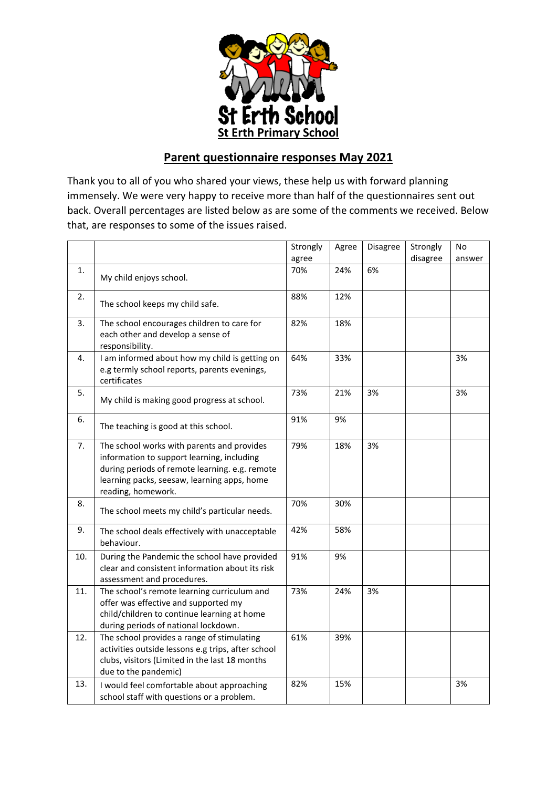

## **Parent questionnaire responses May 2021**

Thank you to all of you who shared your views, these help us with forward planning immensely. We were very happy to receive more than half of the questionnaires sent out back. Overall percentages are listed below as are some of the comments we received. Below that, are responses to some of the issues raised.

|     |                                                                                                                                                                                                                 | Strongly | Agree | Disagree | Strongly | No     |
|-----|-----------------------------------------------------------------------------------------------------------------------------------------------------------------------------------------------------------------|----------|-------|----------|----------|--------|
|     |                                                                                                                                                                                                                 | agree    |       |          | disagree | answer |
| 1.  | My child enjoys school.                                                                                                                                                                                         | 70%      | 24%   | 6%       |          |        |
| 2.  | The school keeps my child safe.                                                                                                                                                                                 | 88%      | 12%   |          |          |        |
| 3.  | The school encourages children to care for<br>each other and develop a sense of<br>responsibility.                                                                                                              | 82%      | 18%   |          |          |        |
| 4.  | I am informed about how my child is getting on<br>e.g termly school reports, parents evenings,<br>certificates                                                                                                  | 64%      | 33%   |          |          | 3%     |
| 5.  | My child is making good progress at school.                                                                                                                                                                     | 73%      | 21%   | 3%       |          | 3%     |
| 6.  | The teaching is good at this school.                                                                                                                                                                            | 91%      | 9%    |          |          |        |
| 7.  | The school works with parents and provides<br>information to support learning, including<br>during periods of remote learning. e.g. remote<br>learning packs, seesaw, learning apps, home<br>reading, homework. | 79%      | 18%   | 3%       |          |        |
| 8.  | The school meets my child's particular needs.                                                                                                                                                                   | 70%      | 30%   |          |          |        |
| 9.  | The school deals effectively with unacceptable<br>behaviour.                                                                                                                                                    | 42%      | 58%   |          |          |        |
| 10. | During the Pandemic the school have provided<br>clear and consistent information about its risk<br>assessment and procedures.                                                                                   | 91%      | 9%    |          |          |        |
| 11. | The school's remote learning curriculum and<br>offer was effective and supported my<br>child/children to continue learning at home<br>during periods of national lockdown.                                      | 73%      | 24%   | 3%       |          |        |
| 12. | The school provides a range of stimulating<br>activities outside lessons e.g trips, after school<br>clubs, visitors (Limited in the last 18 months<br>due to the pandemic)                                      | 61%      | 39%   |          |          |        |
| 13. | I would feel comfortable about approaching<br>school staff with questions or a problem.                                                                                                                         | 82%      | 15%   |          |          | 3%     |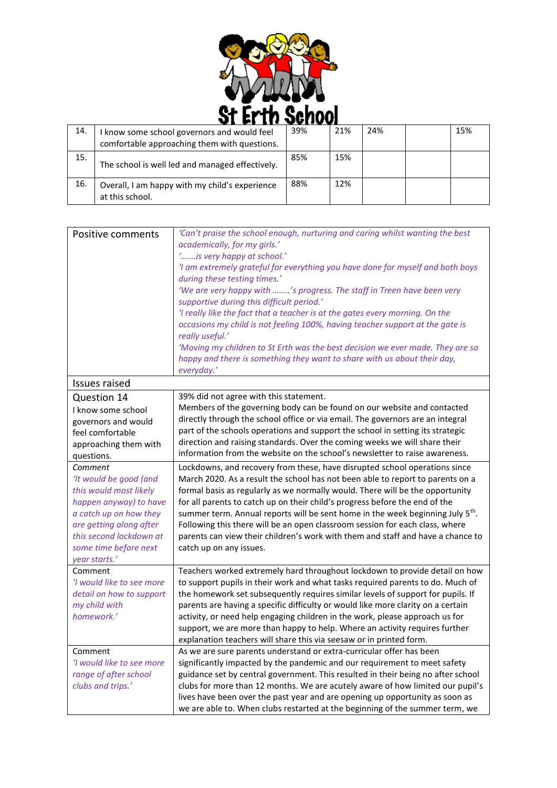

| 14. | I know some school governors and would feel<br>comfortable approaching them with questions. | 39% | 21% | 24% | 15% |
|-----|---------------------------------------------------------------------------------------------|-----|-----|-----|-----|
| 15. | The school is well led and managed effectively.                                             | 85% | 15% |     |     |
| 16. | Overall, I am happy with my child's experience<br>at this school.                           | 88% | 12% |     |     |

| Positive comments         | 'Can't praise the school enough, nurturing and caring whilst wanting the best              |
|---------------------------|--------------------------------------------------------------------------------------------|
|                           | academically, for my girls.'                                                               |
|                           | 'is very happy at school.'                                                                 |
|                           | 'I am extremely grateful for everything you have done for myself and both boys             |
|                           | during these testing times.'                                                               |
|                           | 'We are very happy with 's progress. The staff in Treen have been very                     |
|                           | supportive during this difficult period.'                                                  |
|                           | 'I really like the fact that a teacher is at the gates every morning. On the               |
|                           | occasions my child is not feeling 100%, having teacher support at the gate is              |
|                           | really useful.'                                                                            |
|                           | 'Moving my children to St Erth was the best decision we ever made. They are so             |
|                           | happy and there is something they want to share with us about their day,                   |
|                           | everyday.'                                                                                 |
| <b>Issues raised</b>      |                                                                                            |
| Question 14               | 39% did not agree with this statement.                                                     |
| I know some school        | Members of the governing body can be found on our website and contacted                    |
| governors and would       | directly through the school office or via email. The governors are an integral             |
| feel comfortable          | part of the schools operations and support the school in setting its strategic             |
| approaching them with     | direction and raising standards. Over the coming weeks we will share their                 |
| questions.                | information from the website on the school's newsletter to raise awareness.                |
| Comment                   | Lockdowns, and recovery from these, have disrupted school operations since                 |
| 'It would be good (and    | March 2020. As a result the school has not been able to report to parents on a             |
| this would most likely    | formal basis as regularly as we normally would. There will be the opportunity              |
| happen anyway) to have    | for all parents to catch up on their child's progress before the end of the                |
| a catch up on how they    | summer term. Annual reports will be sent home in the week beginning July 5 <sup>th</sup> . |
| are getting along after   | Following this there will be an open classroom session for each class, where               |
| this second lockdown at   | parents can view their children's work with them and staff and have a chance to            |
| some time before next     | catch up on any issues.                                                                    |
| year starts.'             |                                                                                            |
| Comment                   | Teachers worked extremely hard throughout lockdown to provide detail on how                |
| 'I would like to see more | to support pupils in their work and what tasks required parents to do. Much of             |
| detail on how to support  | the homework set subsequently requires similar levels of support for pupils. If            |
| my child with             | parents are having a specific difficulty or would like more clarity on a certain           |
| homework.'                | activity, or need help engaging children in the work, please approach us for               |
|                           | support, we are more than happy to help. Where an activity requires further                |
|                           | explanation teachers will share this via seesaw or in printed form.                        |
| Comment                   | As we are sure parents understand or extra-curricular offer has been                       |
| 'I would like to see more | significantly impacted by the pandemic and our requirement to meet safety                  |
| range of after school     | guidance set by central government. This resulted in their being no after school           |
| clubs and trips.'         | clubs for more than 12 months. We are acutely aware of how limited our pupil's             |
|                           | lives have been over the past year and are opening up opportunity as soon as               |
|                           | we are able to. When clubs restarted at the beginning of the summer term, we               |